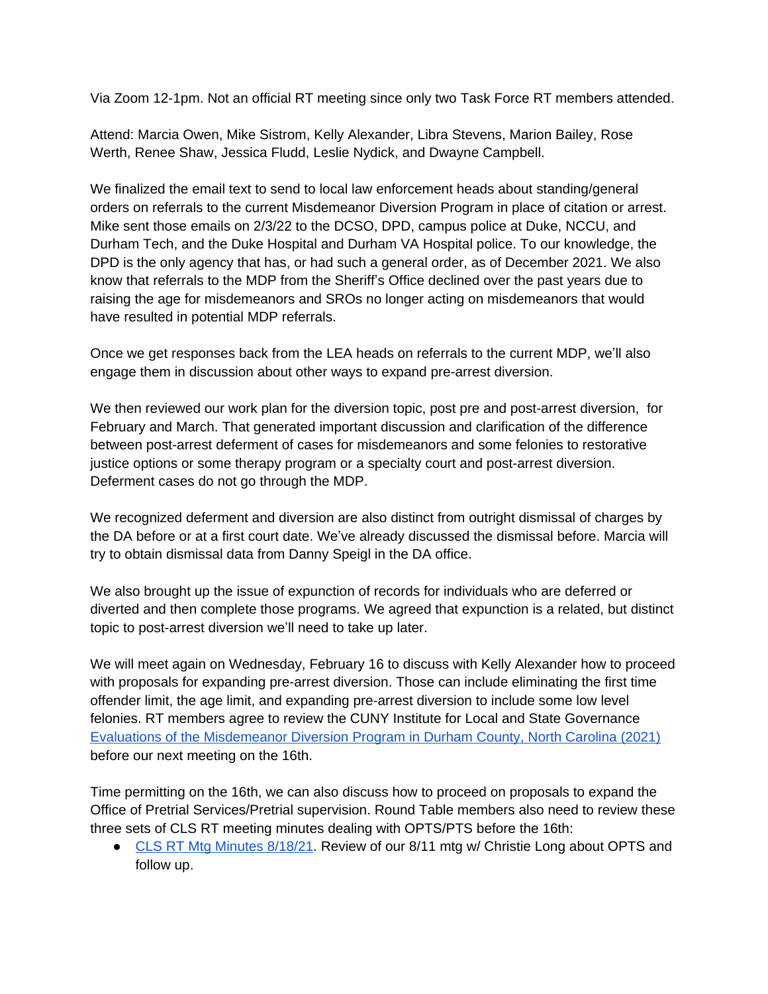Via Zoom 12-1pm. Not an official RT meeting since only two Task Force RT members attended.

Attend: Marcia Owen, Mike Sistrom, Kelly Alexander, Libra Stevens, Marion Bailey, Rose Werth, Renee Shaw, Jessica Fludd, Leslie Nydick, and Dwayne Campbell.

We finalized the email text to send to local law enforcement heads about standing/general orders on referrals to the current Misdemeanor Diversion Program in place of citation or arrest. Mike sent those emails on 2/3/22 to the DCSO, DPD, campus police at Duke, NCCU, and Durham Tech, and the Duke Hospital and Durham VA Hospital police. To our knowledge, the DPD is the only agency that has, or had such a general order, as of December 2021. We also know that referrals to the MDP from the Sheriff's Office declined over the past years due to raising the age for misdemeanors and SROs no longer acting on misdemeanors that would have resulted in potential MDP referrals.

Once we get responses back from the LEA heads on referrals to the current MDP, we'll also engage them in discussion about other ways to expand pre-arrest diversion.

We then reviewed our work plan for the diversion topic, post pre and post-arrest diversion, for February and March. That generated important discussion and clarification of the difference between post-arrest deferment of cases for misdemeanors and some felonies to restorative justice options or some therapy program or a specialty court and post-arrest diversion. Deferment cases do not go through the MDP.

We recognized deferment and diversion are also distinct from outright dismissal of charges by the DA before or at a first court date. We've already discussed the dismissal before. Marcia will try to obtain dismissal data from Danny Speigl in the DA office.

We also brought up the issue of expunction of records for individuals who are deferred or diverted and then complete those programs. We agreed that expunction is a related, but distinct topic to post-arrest diversion we'll need to take up later.

We will meet again on Wednesday, February 16 to discuss with Kelly Alexander how to proceed with proposals for expanding pre-arrest diversion. Those can include eliminating the first time offender limit, the age limit, and expanding pre-arrest diversion to include some low level felonies. RT members agree to review the CUNY Institute for Local and State Governance [Evaluations of the Misdemeanor Diversion Program in Durham County, North Carolina \(2021\)](https://islg.cuny.edu/resources/evaluations-of-the-misdemeanor-diversion-program-in-durham-county-north-carolina) [before our next meeting on the 16th.](https://islg.cuny.edu/resources/evaluations-of-the-misdemeanor-diversion-program-in-durham-county-north-carolina)

[Time permitting on the 16th, we can also discuss how to proceed on proposals to expand the](https://islg.cuny.edu/resources/evaluations-of-the-misdemeanor-diversion-program-in-durham-county-north-carolina)  [Office of Pretrial Services/Pretrial supervision. Round Table members also need to review these](https://islg.cuny.edu/resources/evaluations-of-the-misdemeanor-diversion-program-in-durham-county-north-carolina) [three sets of CLS RT meeting minutes dealing with OPTS/PTS before the 16th:](https://islg.cuny.edu/resources/evaluations-of-the-misdemeanor-diversion-program-in-durham-county-north-carolina) 

● CLS RT Mtg Minutes 8/18/21. Review of our 8/11 mtg w/ Christie Long about OPTS and [follow up.](https://docs.google.com/document/d/1ZGUaRYSUhITz_A6ki_fFbqiVQUrqLKZ1/edit)